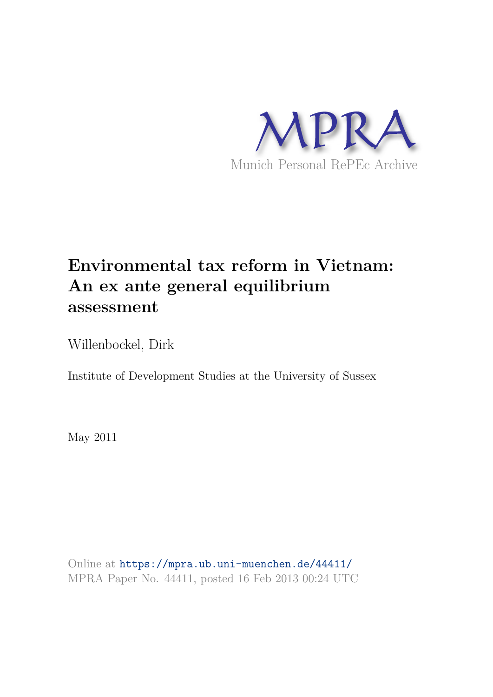

# **Environmental tax reform in Vietnam: An ex ante general equilibrium assessment**

Willenbockel, Dirk

Institute of Development Studies at the University of Sussex

May 2011

Online at https://mpra.ub.uni-muenchen.de/44411/ MPRA Paper No. 44411, posted 16 Feb 2013 00:24 UTC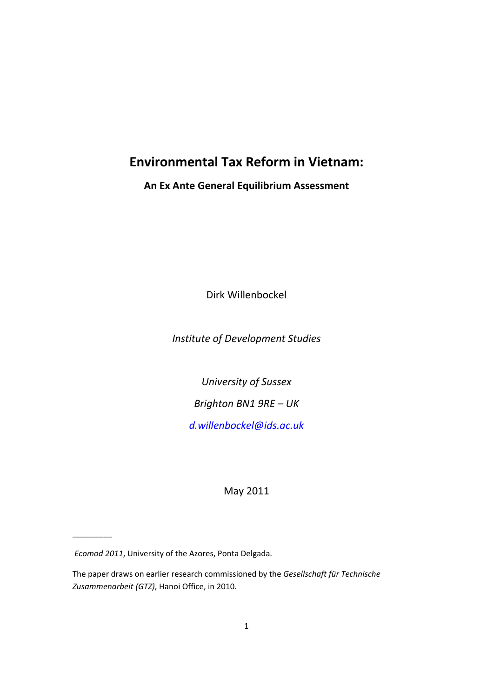# **Environmental Tax Reform in Vietnam:**

# **An Ex Ante General Equilibrium Assessment**

Dirk Willenbockel

*Institute of Development Studies* 

*University of Sussex*

*Brighton BN1 9RE – UK*

*d.willenbockel@ids.ac.uk*

May 2011

 $\mathcal{L}$ 

*Ecomod 2011*, University of the Azores, Ponta Delgada.

The paper draws on earlier research commissioned by the *Gesellschaft für Technische Zusammenarbeit (GTZ)*, Hanoi Office, in 2010.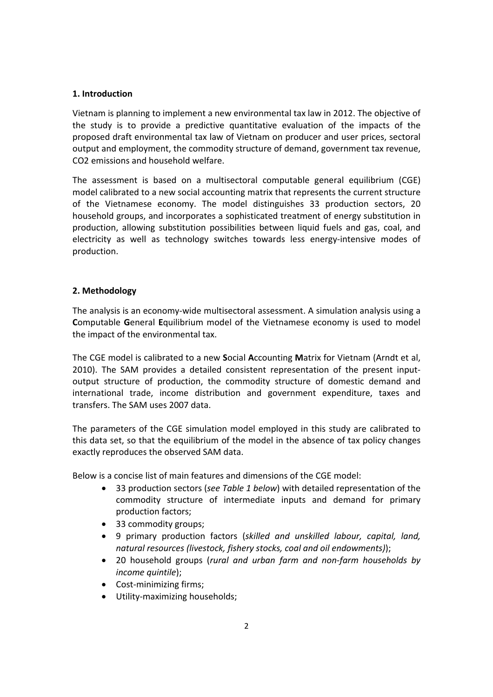# **1. Introduction**

Vietnam is planning to implement a new environmental tax law in 2012. The objective of the study is to provide a predictive quantitative evaluation of the impacts of the proposed draft environmental tax law of Vietnam on producer and user prices, sectoral output and employment, the commodity structure of demand, government tax revenue, CO2 emissions and household welfare.

The assessment is based on a multisectoral computable general equilibrium (CGE) model calibrated to a new social accounting matrix that represents the current structure of the Vietnamese economy. The model distinguishes 33 production sectors, 20 household groups, and incorporates a sophisticated treatment of energy substitution in production, allowing substitution possibilities between liquid fuels and gas, coal, and electricity as well as technology switches towards less energy-intensive modes of production.

# **2. Methodology**

The analysis is an economy‐wide multisectoral assessment. A simulation analysis using a **C**omputable **G**eneral **E**quilibrium model of the Vietnamese economy is used to model the impact of the environmental tax.

The CGE model is calibrated to a new **S**ocial **A**ccounting **M**atrix for Vietnam (Arndt et al, 2010). The SAM provides a detailed consistent representation of the present input‐ output structure of production, the commodity structure of domestic demand and international trade, income distribution and government expenditure, taxes and transfers. The SAM uses 2007 data.

The parameters of the CGE simulation model employed in this study are calibrated to this data set, so that the equilibrium of the model in the absence of tax policy changes exactly reproduces the observed SAM data.

Below is a concise list of main features and dimensions of the CGE model:

- 33 production sectors (*see Table 1 below*) with detailed representation of the commodity structure of intermediate inputs and demand for primary production factors;
- 33 commodity groups;
- 9 primary production factors (*skilled and unskilled labour, capital, land, natural resources (livestock, fishery stocks, coal and oil endowments)*);
- 20 household groups (*rural and urban farm and non‐farm households by income quintile*);
- Cost-minimizing firms;
- Utility‐maximizing households;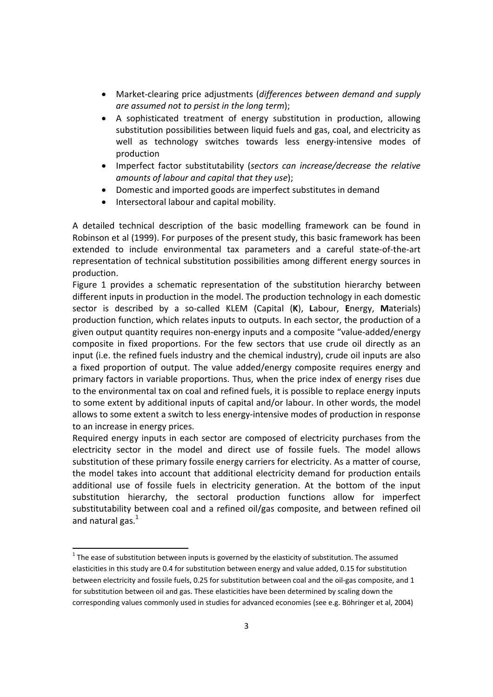- Market‐clearing price adjustments (*differences between demand and supply are assumed not to persist in the long term*);
- A sophisticated treatment of energy substitution in production, allowing substitution possibilities between liquid fuels and gas, coal, and electricity as well as technology switches towards less energy-intensive modes of production
- Imperfect factor substitutability (*sectors can increase/decrease the relative amounts of labour and capital that they use*);
- Domestic and imported goods are imperfect substitutes in demand
- Intersectoral labour and capital mobility.

A detailed technical description of the basic modelling framework can be found in Robinson et al (1999). For purposes of the present study, this basic framework has been extended to include environmental tax parameters and a careful state‐of‐the‐art representation of technical substitution possibilities among different energy sources in production.

Figure 1 provides a schematic representation of the substitution hierarchy between different inputs in production in the model. The production technology in each domestic sector is described by a so‐called KLEM (Capital (**K**), **L**abour, **E**nergy, **M**aterials) production function, which relates inputs to outputs. In each sector, the production of a given output quantity requires non‐energy inputs and a composite "value‐added/energy composite in fixed proportions. For the few sectors that use crude oil directly as an input (i.e. the refined fuels industry and the chemical industry), crude oil inputs are also a fixed proportion of output. The value added/energy composite requires energy and primary factors in variable proportions. Thus, when the price index of energy rises due to the environmental tax on coal and refined fuels, it is possible to replace energy inputs to some extent by additional inputs of capital and/or labour. In other words, the model allows to some extent a switch to less energy-intensive modes of production in response to an increase in energy prices.

Required energy inputs in each sector are composed of electricity purchases from the electricity sector in the model and direct use of fossile fuels. The model allows substitution of these primary fossile energy carriers for electricity. As a matter of course, the model takes into account that additional electricity demand for production entails additional use of fossile fuels in electricity generation. At the bottom of the input substitution hierarchy, the sectoral production functions allow for imperfect substitutability between coal and a refined oil/gas composite, and between refined oil and natural gas. $1$ 

 $^{\text{1}}$  The ease of substitution between inputs is governed by the elasticity of substitution. The assumed elasticities in this study are 0.4 for substitution between energy and value added, 0.15 for substitution between electricity and fossile fuels, 0.25 for substitution between coal and the oil-gas composite, and 1 for substitution between oil and gas. These elasticities have been determined by scaling down the corresponding values commonly used in studies for advanced economies (see e.g. Böhringer et al, 2004)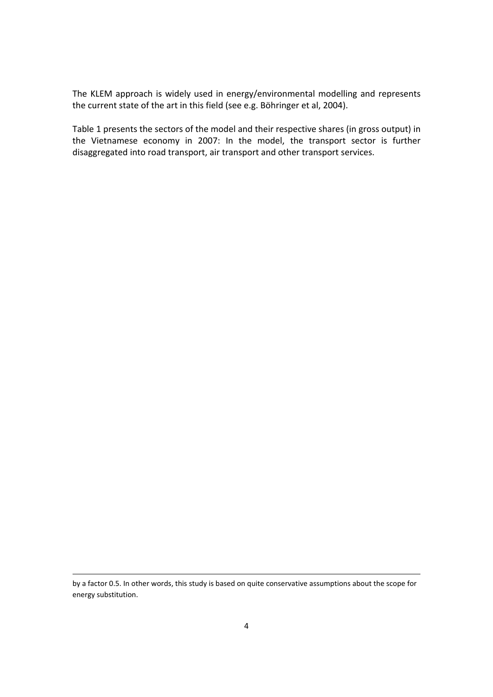The KLEM approach is widely used in energy/environmental modelling and represents the current state of the art in this field (see e.g. Böhringer et al, 2004).

Table 1 presents the sectors of the model and their respective shares (in gross output) in the Vietnamese economy in 2007: In the model, the transport sector is further disaggregated into road transport, air transport and other transport services.

<u> 1989 - Andrea Barbara, amerikana amerikana amerikana amerikana amerikana amerikana amerikana amerikana amerika</u>

by a factor 0.5. In other words, this study is based on quite conservative assumptions about the scope for energy substitution.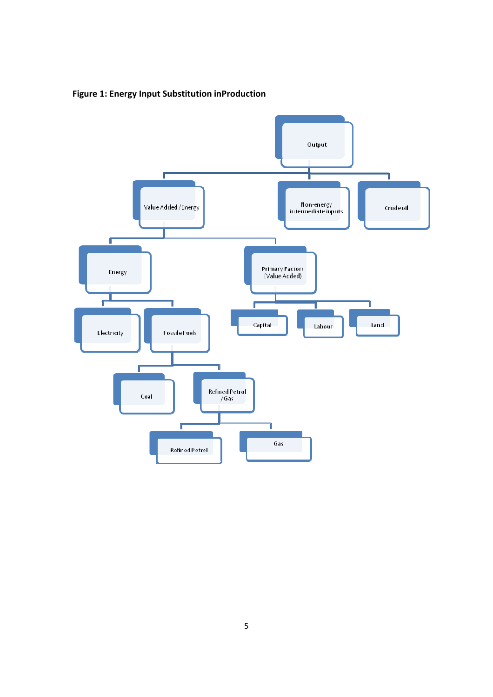**Figure 1: Energy Input Substitution inProduction**

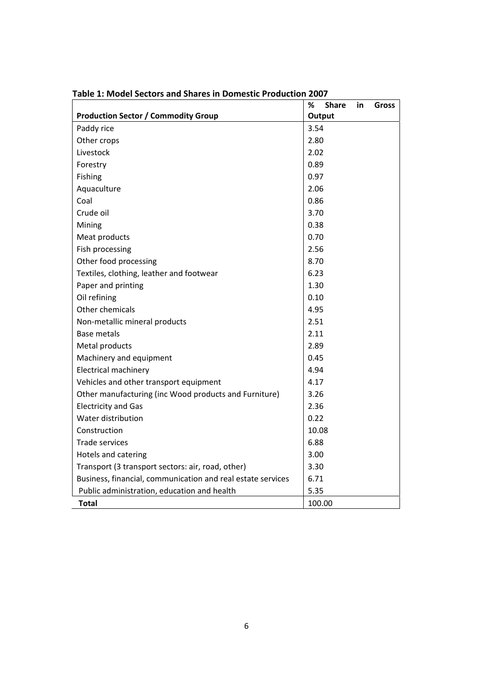|                                                             | %<br><b>Share</b><br>in<br><b>Gross</b> |
|-------------------------------------------------------------|-----------------------------------------|
| <b>Production Sector / Commodity Group</b>                  | Output                                  |
| Paddy rice                                                  | 3.54                                    |
| Other crops                                                 | 2.80                                    |
| Livestock                                                   | 2.02                                    |
| Forestry                                                    | 0.89                                    |
| Fishing                                                     | 0.97                                    |
| Aquaculture                                                 | 2.06                                    |
| Coal                                                        | 0.86                                    |
| Crude oil                                                   | 3.70                                    |
| Mining                                                      | 0.38                                    |
| Meat products                                               | 0.70                                    |
| Fish processing                                             | 2.56                                    |
| Other food processing                                       | 8.70                                    |
| Textiles, clothing, leather and footwear                    | 6.23                                    |
| Paper and printing                                          | 1.30                                    |
| Oil refining                                                | 0.10                                    |
| Other chemicals                                             | 4.95                                    |
| Non-metallic mineral products                               | 2.51                                    |
| <b>Base metals</b>                                          | 2.11                                    |
| Metal products                                              | 2.89                                    |
| Machinery and equipment                                     | 0.45                                    |
| Electrical machinery                                        | 4.94                                    |
| Vehicles and other transport equipment                      | 4.17                                    |
| Other manufacturing (inc Wood products and Furniture)       | 3.26                                    |
| <b>Electricity and Gas</b>                                  | 2.36                                    |
| Water distribution                                          | 0.22                                    |
| Construction                                                | 10.08                                   |
| <b>Trade services</b>                                       | 6.88                                    |
| Hotels and catering                                         | 3.00                                    |
| Transport (3 transport sectors: air, road, other)           | 3.30                                    |
| Business, financial, communication and real estate services | 6.71                                    |
| Public administration, education and health                 | 5.35                                    |
| <b>Total</b>                                                | 100.00                                  |

**Table 1: Model Sectors and Shares in Domestic Production 2007**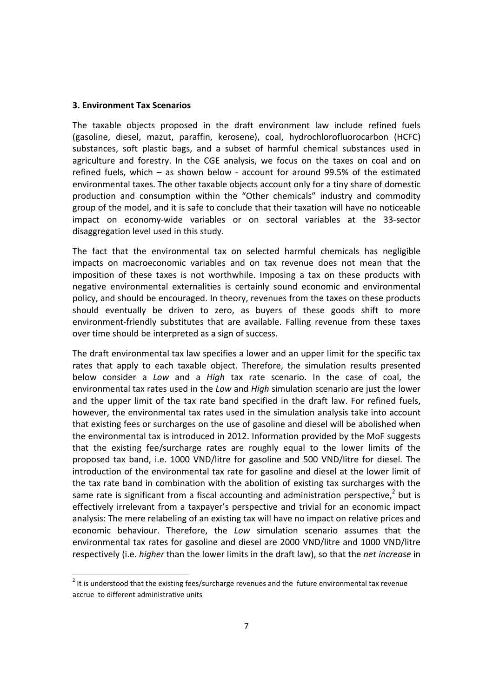# **3. Environment Tax Scenarios**

The taxable objects proposed in the draft environment law include refined fuels (gasoline, diesel, mazut, paraffin, kerosene), coal, hydrochlorofluorocarbon (HCFC) substances, soft plastic bags, and a subset of harmful chemical substances used in agriculture and forestry. In the CGE analysis, we focus on the taxes on coal and on refined fuels, which  $-$  as shown below - account for around 99.5% of the estimated environmental taxes. The other taxable objects account only for a tiny share of domestic production and consumption within the "Other chemicals" industry and commodity group of the model, and it is safe to conclude that their taxation will have no noticeable impact on economy‐wide variables or on sectoral variables at the 33‐sector disaggregation level used in this study.

The fact that the environmental tax on selected harmful chemicals has negligible impacts on macroeconomic variables and on tax revenue does not mean that the imposition of these taxes is not worthwhile. Imposing a tax on these products with negative environmental externalities is certainly sound economic and environmental policy, and should be encouraged. In theory, revenues from the taxes on these products should eventually be driven to zero, as buyers of these goods shift to more environment‐friendly substitutes that are available. Falling revenue from these taxes over time should be interpreted as a sign of success.

The draft environmental tax law specifies a lower and an upper limit for the specific tax rates that apply to each taxable object. Therefore, the simulation results presented below consider a *Low* and a *High* tax rate scenario. In the case of coal, the environmental tax rates used in the *Low* and *High* simulation scenario are just the lower and the upper limit of the tax rate band specified in the draft law. For refined fuels, however, the environmental tax rates used in the simulation analysis take into account that existing fees or surcharges on the use of gasoline and diesel will be abolished when the environmental tax is introduced in 2012. Information provided by the MoF suggests that the existing fee/surcharge rates are roughly equal to the lower limits of the proposed tax band, i.e. 1000 VND/litre for gasoline and 500 VND/litre for diesel. The introduction of the environmental tax rate for gasoline and diesel at the lower limit of the tax rate band in combination with the abolition of existing tax surcharges with the same rate is significant from a fiscal accounting and administration perspective,<sup>2</sup> but is effectively irrelevant from a taxpayer's perspective and trivial for an economic impact analysis: The mere relabeling of an existing tax will have no impact on relative prices and economic behaviour. Therefore, the *Low* simulation scenario assumes that the environmental tax rates for gasoline and diesel are 2000 VND/litre and 1000 VND/litre respectively (i.e. *higher* than the lower limits in the draft law), so that the *net increase* in

 $2$  It is understood that the existing fees/surcharge revenues and the future environmental tax revenue accrue to different administrative units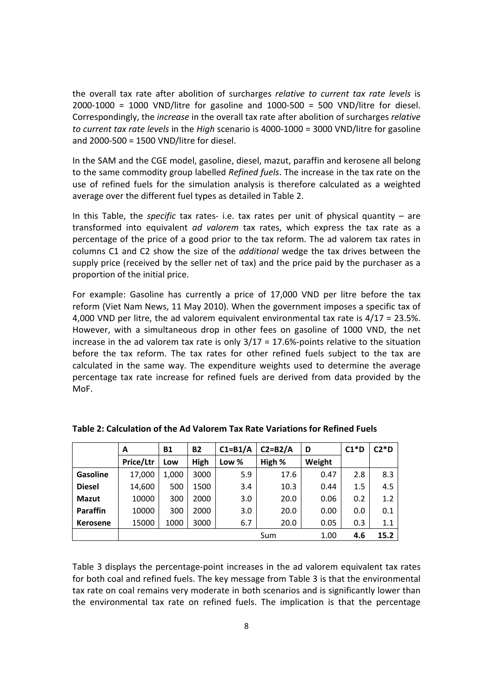the overall tax rate after abolition of surcharges *relative to current tax rate levels* is  $2000-1000 = 1000$  VND/litre for gasoline and  $1000-500 = 500$  VND/litre for diesel. Correspondingly, the *increase* in the overall tax rate after abolition of surcharges *relative to current tax rate levels* in the *High* scenario is 4000‐1000 = 3000 VND/litre for gasoline and 2000‐500 = 1500 VND/litre for diesel.

In the SAM and the CGE model, gasoline, diesel, mazut, paraffin and kerosene all belong to the same commodity group labelled *Refined fuels*. The increase in the tax rate on the use of refined fuels for the simulation analysis is therefore calculated as a weighted average over the different fuel types as detailed in Table 2.

In this Table, the *specific* tax rates- i.e. tax rates per unit of physical quantity – are transformed into equivalent *ad valorem* tax rates, which express the tax rate as a percentage of the price of a good prior to the tax reform. The ad valorem tax rates in columns C1 and C2 show the size of the *additional* wedge the tax drives between the supply price (received by the seller net of tax) and the price paid by the purchaser as a proportion of the initial price.

For example: Gasoline has currently a price of 17,000 VND per litre before the tax reform (Viet Nam News, 11 May 2010). When the government imposes a specific tax of 4,000 VND per litre, the ad valorem equivalent environmental tax rate is 4/17 = 23.5%. However, with a simultaneous drop in other fees on gasoline of 1000 VND, the net increase in the ad valorem tax rate is only  $3/17 = 17.6\%$ -points relative to the situation before the tax reform. The tax rates for other refined fuels subject to the tax are calculated in the same way. The expenditure weights used to determine the average percentage tax rate increase for refined fuels are derived from data provided by the MoF.

|                 | А         | <b>B1</b> | <b>B2</b> | $C1 = B1/A$ | $C2 = B2/A$ | D      | $C1*D$ | $C2*D$ |
|-----------------|-----------|-----------|-----------|-------------|-------------|--------|--------|--------|
|                 | Price/Ltr | Low       | High      | Low %       | High %      | Weight |        |        |
| <b>Gasoline</b> | 17,000    | 1,000     | 3000      | 5.9         | 17.6        | 0.47   | 2.8    | 8.3    |
| <b>Diesel</b>   | 14,600    | 500       | 1500      | 3.4         | 10.3        | 0.44   | 1.5    | 4.5    |
| <b>Mazut</b>    | 10000     | 300       | 2000      | 3.0         | 20.0        | 0.06   | 0.2    | 1.2    |
| Paraffin        | 10000     | 300       | 2000      | 3.0         | 20.0        | 0.00   | 0.0    | 0.1    |
| <b>Kerosene</b> | 15000     | 1000      | 3000      | 6.7         | 20.0        | 0.05   | 0.3    | 1.1    |
|                 |           |           |           |             | Sum         | 1.00   | 4.6    | 15.2   |

**Table 2: Calculation of the Ad Valorem Tax Rate Variations for Refined Fuels**

Table 3 displays the percentage‐point increases in the ad valorem equivalent tax rates for both coal and refined fuels. The key message from Table 3 is that the environmental tax rate on coal remains very moderate in both scenarios and is significantly lower than the environmental tax rate on refined fuels. The implication is that the percentage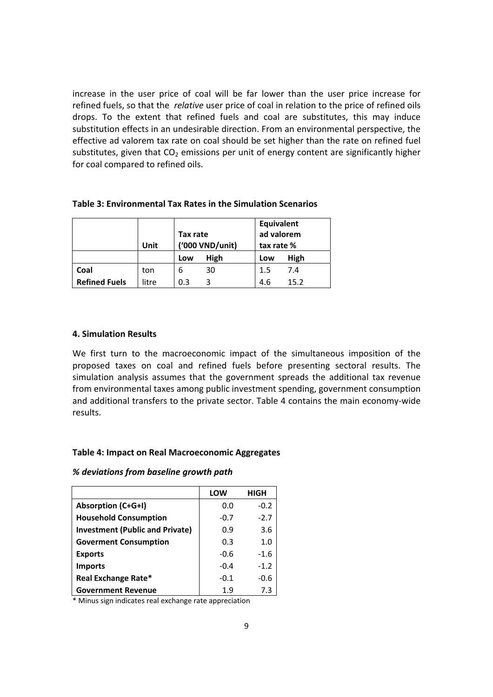increase in the user price of coal will be far lower than the user price increase for refined fuels, so that the *relative* user price of coal in relation to the price of refined oils drops. To the extent that refined fuels and coal are substitutes, this may induce substitution effects in an undesirable direction. From an environmental perspective, the effective ad valorem tax rate on coal should be set higher than the rate on refined fuel substitutes, given that  $CO<sub>2</sub>$  emissions per unit of energy content are significantly higher for coal compared to refined oils.

|                      | Unit  | Tax rate<br>('000 VND/unit) |      | Equivalent<br>ad valorem<br>tax rate % |      |
|----------------------|-------|-----------------------------|------|----------------------------------------|------|
|                      |       | Low                         | High | Low                                    | High |
| Coal                 | ton   | 6                           | 30   | $1.5\,$                                | 7.4  |
| <b>Refined Fuels</b> | litre | 0.3                         |      | 4.6                                    | 15.2 |

# **Table 3: Environmental Tax Rates in the Simulation Scenarios**

# **4. Simulation Results**

We first turn to the macroeconomic impact of the simultaneous imposition of the proposed taxes on coal and refined fuels before presenting sectoral results. The simulation analysis assumes that the government spreads the additional tax revenue from environmental taxes among public investment spending, government consumption and additional transfers to the private sector. Table 4 contains the main economy-wide results.

# **Table 4: Impact on Real Macroeconomic Aggregates**

#### *% deviations from baseline growth path*

|                                        | LOW    | <b>HIGH</b> |
|----------------------------------------|--------|-------------|
| <b>Absorption (C+G+I)</b>              | 0.0    | $-0.2$      |
| <b>Household Consumption</b>           | $-0.7$ | $-2.7$      |
| <b>Investment (Public and Private)</b> | 0.9    | 3.6         |
| <b>Goverment Consumption</b>           | 0.3    | 1.0         |
| <b>Exports</b>                         | $-0.6$ | $-1.6$      |
| <b>Imports</b>                         | $-0.4$ | $-1.2$      |
| Real Exchange Rate*                    | $-0.1$ | $-0.6$      |
| <b>Government Revenue</b>              | 1.9    | 7.3         |

\* Minus sign indicates real exchange rate appreciation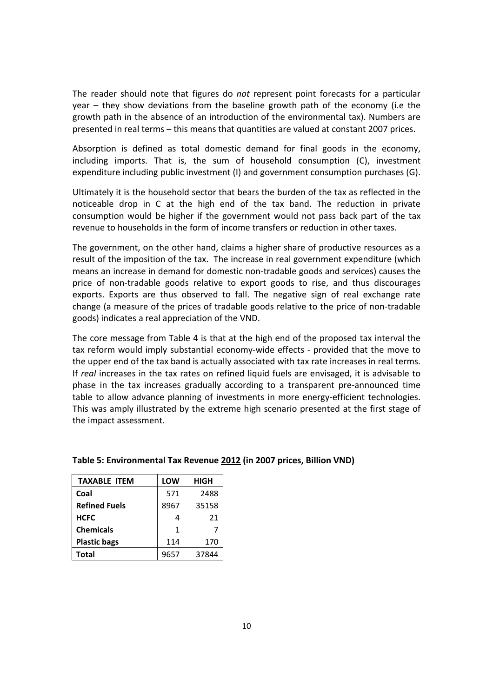The reader should note that figures do *not* represent point forecasts for a particular year – they show deviations from the baseline growth path of the economy (i.e the growth path in the absence of an introduction of the environmental tax). Numbers are presented in real terms – this means that quantities are valued at constant 2007 prices.

Absorption is defined as total domestic demand for final goods in the economy, including imports. That is, the sum of household consumption (C), investment expenditure including public investment (I) and government consumption purchases (G).

Ultimately it is the household sector that bears the burden of the tax as reflected in the noticeable drop in C at the high end of the tax band. The reduction in private consumption would be higher if the government would not pass back part of the tax revenue to households in the form of income transfers or reduction in other taxes.

The government, on the other hand, claims a higher share of productive resources as a result of the imposition of the tax. The increase in real government expenditure (which means an increase in demand for domestic non‐tradable goods and services) causes the price of non‐tradable goods relative to export goods to rise, and thus discourages exports. Exports are thus observed to fall. The negative sign of real exchange rate change (a measure of the prices of tradable goods relative to the price of non‐tradable goods) indicates a real appreciation of the VND.

The core message from Table 4 is that at the high end of the proposed tax interval the tax reform would imply substantial economy‐wide effects ‐ provided that the move to the upper end of the tax band is actually associated with tax rate increases in real terms. If *real* increases in the tax rates on refined liquid fuels are envisaged, it is advisable to phase in the tax increases gradually according to a transparent pre‐announced time table to allow advance planning of investments in more energy-efficient technologies. This was amply illustrated by the extreme high scenario presented at the first stage of the impact assessment.

| <b>TAXABLE ITEM</b>  | LOW  | HIGH  |
|----------------------|------|-------|
| Coal                 | 571  | 2488  |
| <b>Refined Fuels</b> | 8967 | 35158 |
| <b>HCFC</b>          |      | 21    |
| <b>Chemicals</b>     | 1    | 7     |
| <b>Plastic bags</b>  | 114  | 170   |
| <b>Total</b>         | 9657 | 37844 |

# **Table 5: Environmental Tax Revenue 2012 (in 2007 prices, Billion VND)**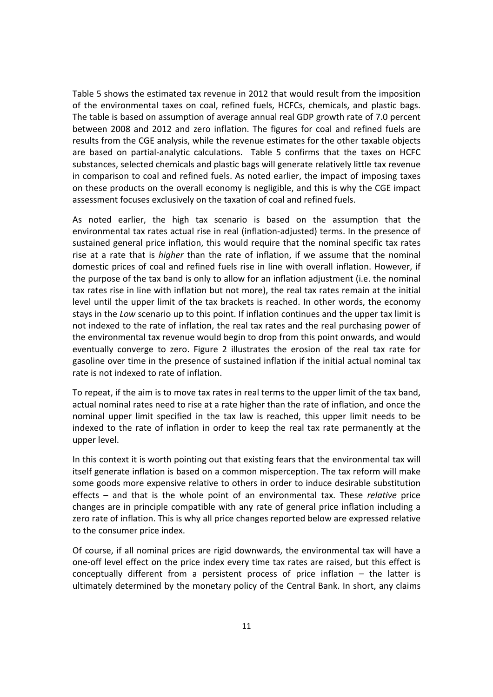Table 5 shows the estimated tax revenue in 2012 that would result from the imposition of the environmental taxes on coal, refined fuels, HCFCs, chemicals, and plastic bags. The table is based on assumption of average annual real GDP growth rate of 7.0 percent between 2008 and 2012 and zero inflation. The figures for coal and refined fuels are results from the CGE analysis, while the revenue estimates for the other taxable objects are based on partial-analytic calculations. Table 5 confirms that the taxes on HCFC substances, selected chemicals and plastic bags will generate relatively little tax revenue in comparison to coal and refined fuels. As noted earlier, the impact of imposing taxes on these products on the overall economy is negligible, and this is why the CGE impact assessment focuses exclusively on the taxation of coal and refined fuels.

As noted earlier, the high tax scenario is based on the assumption that the environmental tax rates actual rise in real (inflation-adjusted) terms. In the presence of sustained general price inflation, this would require that the nominal specific tax rates rise at a rate that is *higher* than the rate of inflation, if we assume that the nominal domestic prices of coal and refined fuels rise in line with overall inflation. However, if the purpose of the tax band is only to allow for an inflation adjustment (i.e. the nominal tax rates rise in line with inflation but not more), the real tax rates remain at the initial level until the upper limit of the tax brackets is reached. In other words, the economy stays in the *Low* scenario up to this point. If inflation continues and the upper tax limit is not indexed to the rate of inflation, the real tax rates and the real purchasing power of the environmental tax revenue would begin to drop from this point onwards, and would eventually converge to zero. Figure 2 illustrates the erosion of the real tax rate for gasoline over time in the presence of sustained inflation if the initial actual nominal tax rate is not indexed to rate of inflation.

To repeat, if the aim is to move tax rates in real terms to the upper limit of the tax band, actual nominal rates need to rise at a rate higher than the rate of inflation, and once the nominal upper limit specified in the tax law is reached, this upper limit needs to be indexed to the rate of inflation in order to keep the real tax rate permanently at the upper level.

In this context it is worth pointing out that existing fears that the environmental tax will itself generate inflation is based on a common misperception. The tax reform will make some goods more expensive relative to others in order to induce desirable substitution effects – and that is the whole point of an environmental tax. These *relative* price changes are in principle compatible with any rate of general price inflation including a zero rate of inflation. This is why all price changes reported below are expressed relative to the consumer price index.

Of course, if all nominal prices are rigid downwards, the environmental tax will have a one‐off level effect on the price index every time tax rates are raised, but this effect is conceptually different from a persistent process of price inflation – the latter is ultimately determined by the monetary policy of the Central Bank. In short, any claims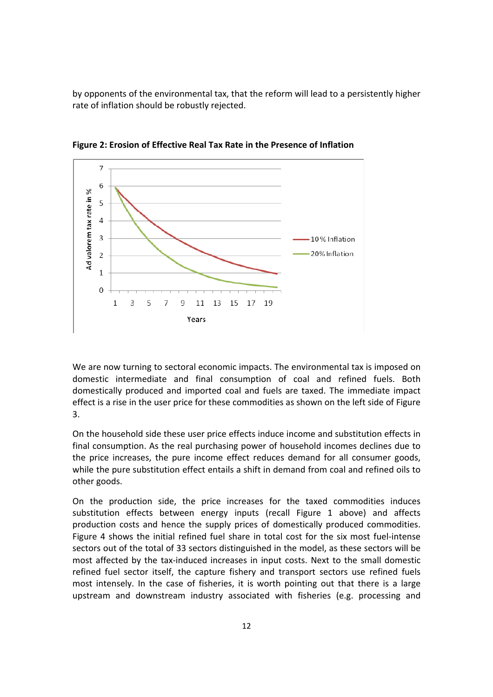by opponents of the environmental tax, that the reform will lead to a persistently higher rate of inflation should be robustly rejected.



**Figure 2: Erosion of Effective Real Tax Rate in the Presence of Inflation**

We are now turning to sectoral economic impacts. The environmental tax is imposed on domestic intermediate and final consumption of coal and refined fuels. Both domestically produced and imported coal and fuels are taxed. The immediate impact effect is a rise in the user price for these commodities as shown on the left side of Figure 3.

On the household side these user price effects induce income and substitution effects in final consumption. As the real purchasing power of household incomes declines due to the price increases, the pure income effect reduces demand for all consumer goods, while the pure substitution effect entails a shift in demand from coal and refined oils to other goods.

On the production side, the price increases for the taxed commodities induces substitution effects between energy inputs (recall Figure 1 above) and affects production costs and hence the supply prices of domestically produced commodities. Figure 4 shows the initial refined fuel share in total cost for the six most fuel-intense sectors out of the total of 33 sectors distinguished in the model, as these sectors will be most affected by the tax‐induced increases in input costs. Next to the small domestic refined fuel sector itself, the capture fishery and transport sectors use refined fuels most intensely. In the case of fisheries, it is worth pointing out that there is a large upstream and downstream industry associated with fisheries (e.g. processing and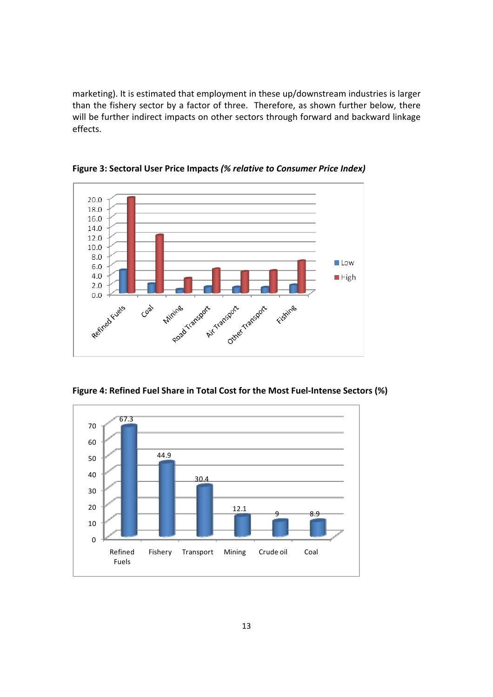marketing). It is estimated that employment in these up/downstream industries is larger than the fishery sector by a factor of three. Therefore, as shown further below, there will be further indirect impacts on other sectors through forward and backward linkage effects.



**Figure 3: Sectoral User Price Impacts** *(% relative to Consumer Price Index)*

**Figure 4: Refined Fuel Share in Total Cost for the Most Fuel‐Intense Sectors (%)**

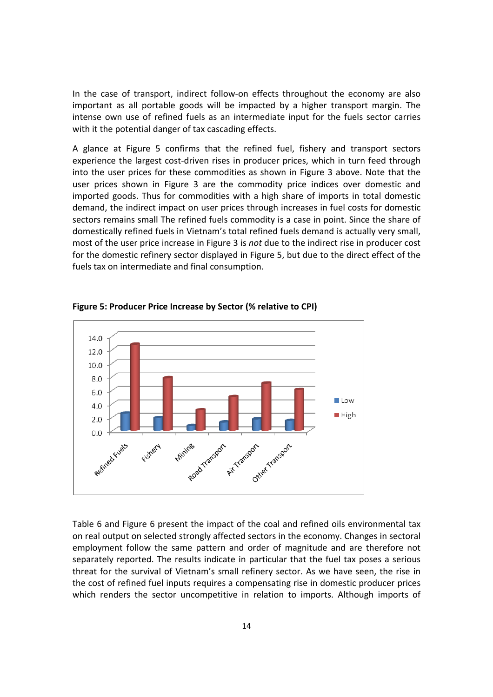In the case of transport, indirect follow-on effects throughout the economy are also important as all portable goods will be impacted by a higher transport margin. The intense own use of refined fuels as an intermediate input for the fuels sector carries with it the potential danger of tax cascading effects.

A glance at Figure 5 confirms that the refined fuel, fishery and transport sectors experience the largest cost-driven rises in producer prices, which in turn feed through into the user prices for these commodities as shown in Figure 3 above. Note that the user prices shown in Figure 3 are the commodity price indices over domestic and imported goods. Thus for commodities with a high share of imports in total domestic demand, the indirect impact on user prices through increases in fuel costs for domestic sectors remains small The refined fuels commodity is a case in point. Since the share of domestically refined fuels in Vietnam's total refined fuels demand is actually very small, most of the user price increase in Figure 3 is *not* due to the indirect rise in producer cost for the domestic refinery sector displayed in Figure 5, but due to the direct effect of the fuels tax on intermediate and final consumption.



**Figure 5: Producer Price Increase by Sector (% relative to CPI)**

Table 6 and Figure 6 present the impact of the coal and refined oils environmental tax on real output on selected strongly affected sectors in the economy. Changes in sectoral employment follow the same pattern and order of magnitude and are therefore not separately reported. The results indicate in particular that the fuel tax poses a serious threat for the survival of Vietnam's small refinery sector. As we have seen, the rise in the cost of refined fuel inputs requires a compensating rise in domestic producer prices which renders the sector uncompetitive in relation to imports. Although imports of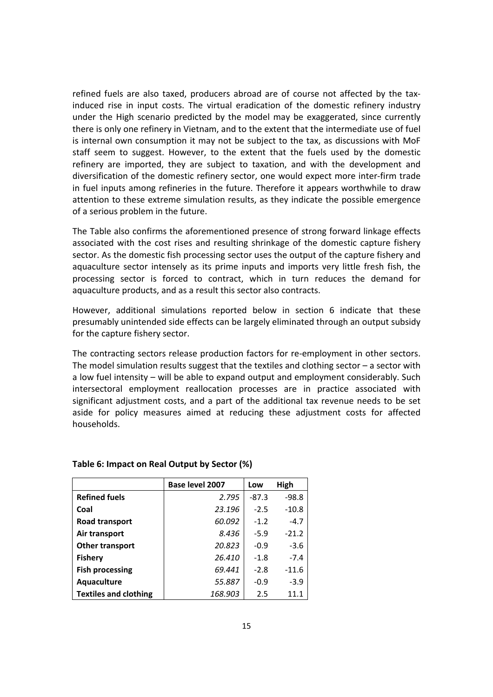refined fuels are also taxed, producers abroad are of course not affected by the tax‐ induced rise in input costs. The virtual eradication of the domestic refinery industry under the High scenario predicted by the model may be exaggerated, since currently there is only one refinery in Vietnam, and to the extent that the intermediate use of fuel is internal own consumption it may not be subject to the tax, as discussions with MoF staff seem to suggest. However, to the extent that the fuels used by the domestic refinery are imported, they are subject to taxation, and with the development and diversification of the domestic refinery sector, one would expect more inter‐firm trade in fuel inputs among refineries in the future. Therefore it appears worthwhile to draw attention to these extreme simulation results, as they indicate the possible emergence of a serious problem in the future.

The Table also confirms the aforementioned presence of strong forward linkage effects associated with the cost rises and resulting shrinkage of the domestic capture fishery sector. As the domestic fish processing sector uses the output of the capture fishery and aquaculture sector intensely as its prime inputs and imports very little fresh fish, the processing sector is forced to contract, which in turn reduces the demand for aquaculture products, and as a result this sector also contracts.

However, additional simulations reported below in section 6 indicate that these presumably unintended side effects can be largely eliminated through an output subsidy for the capture fishery sector.

The contracting sectors release production factors for re‐employment in other sectors. The model simulation results suggest that the textiles and clothing sector – a sector with a low fuel intensity – will be able to expand output and employment considerably. Such intersectoral employment reallocation processes are in practice associated with significant adjustment costs, and a part of the additional tax revenue needs to be set aside for policy measures aimed at reducing these adjustment costs for affected households.

|                              | Base level 2007 | Low     | High    |
|------------------------------|-----------------|---------|---------|
| <b>Refined fuels</b>         | 2.795           | $-87.3$ | $-98.8$ |
| Coal                         | 23.196          | $-2.5$  | $-10.8$ |
| Road transport               | 60.092          | $-1.2$  | $-4.7$  |
| Air transport                | 8.436           | $-5.9$  | $-21.2$ |
| Other transport              | 20.823          | $-0.9$  | $-3.6$  |
| Fishery                      | 26.410          | $-1.8$  | $-7.4$  |
| <b>Fish processing</b>       | 69.441          | $-2.8$  | $-11.6$ |
| Aquaculture                  | 55.887          | $-0.9$  | $-3.9$  |
| <b>Textiles and clothing</b> | 168.903         | 2.5     | 11.1    |

#### **Table 6: Impact on Real Output by Sector (%)**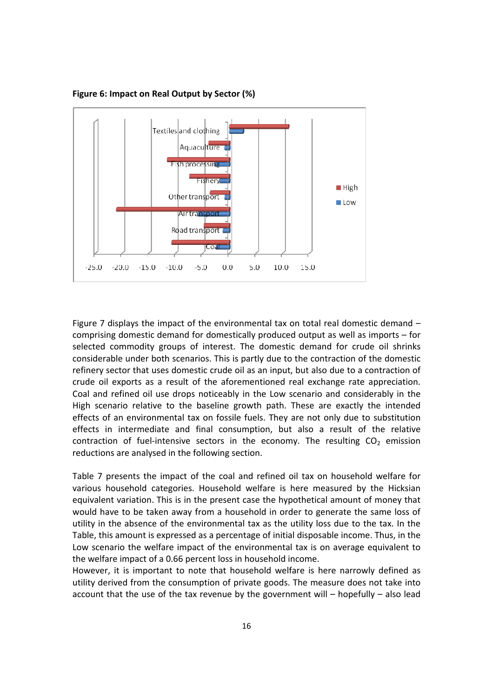

**Figure 6: Impact on Real Output by Sector (%)**

Figure 7 displays the impact of the environmental tax on total real domestic demand – comprising domestic demand for domestically produced output as well as imports – for selected commodity groups of interest. The domestic demand for crude oil shrinks considerable under both scenarios. This is partly due to the contraction of the domestic refinery sector that uses domestic crude oil as an input, but also due to a contraction of crude oil exports as a result of the aforementioned real exchange rate appreciation. Coal and refined oil use drops noticeably in the Low scenario and considerably in the High scenario relative to the baseline growth path. These are exactly the intended effects of an environmental tax on fossile fuels. They are not only due to substitution effects in intermediate and final consumption, but also a result of the relative contraction of fuel-intensive sectors in the economy. The resulting  $CO<sub>2</sub>$  emission reductions are analysed in the following section.

Table 7 presents the impact of the coal and refined oil tax on household welfare for various household categories. Household welfare is here measured by the Hicksian equivalent variation. This is in the present case the hypothetical amount of money that would have to be taken away from a household in order to generate the same loss of utility in the absence of the environmental tax as the utility loss due to the tax. In the Table, this amount is expressed as a percentage of initial disposable income. Thus, in the Low scenario the welfare impact of the environmental tax is on average equivalent to the welfare impact of a 0.66 percent loss in household income.

However, it is important to note that household welfare is here narrowly defined as utility derived from the consumption of private goods. The measure does not take into account that the use of the tax revenue by the government will – hopefully – also lead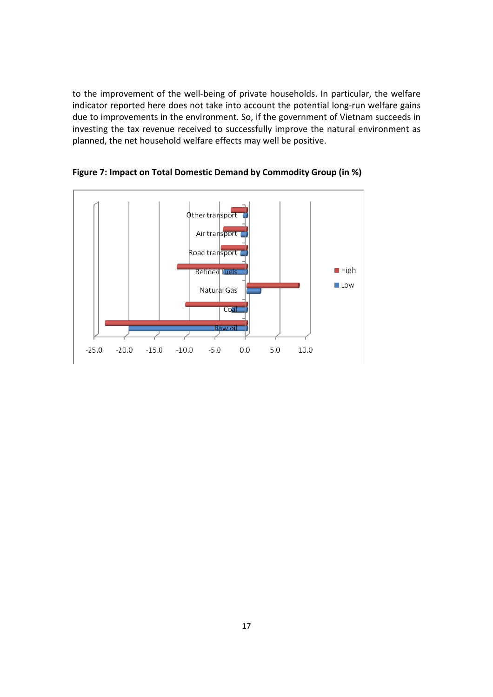to the improvement of the well-being of private households. In particular, the welfare indicator reported here does not take into account the potential long-run welfare gains due to improvements in the environment. So, if the government of Vietnam succeeds in investing the tax revenue received to successfully improve the natural environment as planned, the net household welfare effects may well be positive.



**Figure 7: Impact on Total Domestic Demand by Commodity Group (in %)**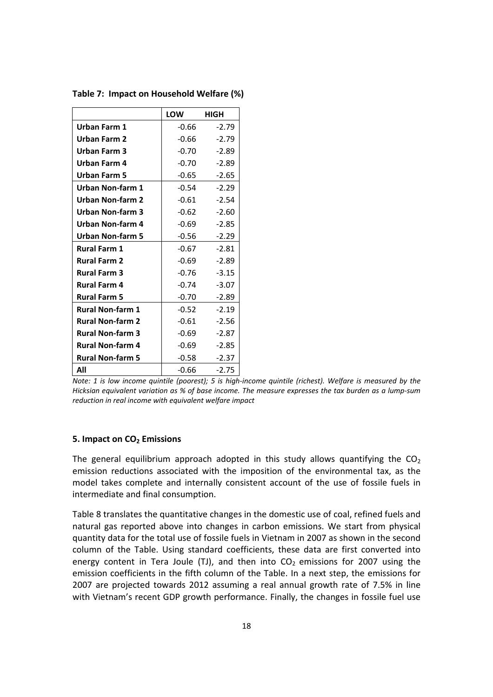|                         | <b>LOW</b> | HIGH    |
|-------------------------|------------|---------|
| Urban Farm 1            | $-0.66$    | $-2.79$ |
| Urban Farm 2            | $-0.66$    | $-2.79$ |
| Urban Farm 3            | $-0.70$    | $-2.89$ |
| Urban Farm 4            | $-0.70$    | $-2.89$ |
| Urban Farm 5            | $-0.65$    | $-2.65$ |
| Urban Non-farm 1        | $-0.54$    | $-2.29$ |
| Urban Non-farm 2        | $-0.61$    | $-2.54$ |
| Urban Non-farm 3        | $-0.62$    | $-2.60$ |
| Urban Non-farm 4        | $-0.69$    | $-2.85$ |
| <b>Urban Non-farm 5</b> | $-0.56$    | $-2.29$ |
| <b>Rural Farm 1</b>     | $-0.67$    | $-2.81$ |
| <b>Rural Farm 2</b>     | $-0.69$    | $-2.89$ |
| <b>Rural Farm 3</b>     | $-0.76$    | $-3.15$ |
| <b>Rural Farm 4</b>     | $-0.74$    | $-3.07$ |
| <b>Rural Farm 5</b>     | $-0.70$    | $-2.89$ |
| <b>Rural Non-farm 1</b> | $-0.52$    | $-2.19$ |
| <b>Rural Non-farm 2</b> | $-0.61$    | $-2.56$ |
| <b>Rural Non-farm 3</b> | $-0.69$    | $-2.87$ |
| <b>Rural Non-farm 4</b> | -0.69      | $-2.85$ |
| <b>Rural Non-farm 5</b> | $-0.58$    | $-2.37$ |
| All                     | $-0.66$    | $-2.75$ |

**Table 7: Impact on Household Welfare (%)**

Note: 1 is low income quintile (poorest); 5 is high-income quintile (richest). Welfare is measured by the Hicksian equivalent variation as % of base income. The measure expresses the tax burden as a lump-sum *reduction in real income with equivalent welfare impact*

#### **5. Impact on CO<sup>2</sup> Emissions**

The general equilibrium approach adopted in this study allows quantifying the  $CO<sub>2</sub>$ emission reductions associated with the imposition of the environmental tax, as the model takes complete and internally consistent account of the use of fossile fuels in intermediate and final consumption.

Table 8 translates the quantitative changes in the domestic use of coal, refined fuels and natural gas reported above into changes in carbon emissions. We start from physical quantity data for the total use of fossile fuels in Vietnam in 2007 as shown in the second column of the Table. Using standard coefficients, these data are first converted into energy content in Tera Joule (TJ), and then into  $CO<sub>2</sub>$  emissions for 2007 using the emission coefficients in the fifth column of the Table. In a next step, the emissions for 2007 are projected towards 2012 assuming a real annual growth rate of 7.5% in line with Vietnam's recent GDP growth performance. Finally, the changes in fossile fuel use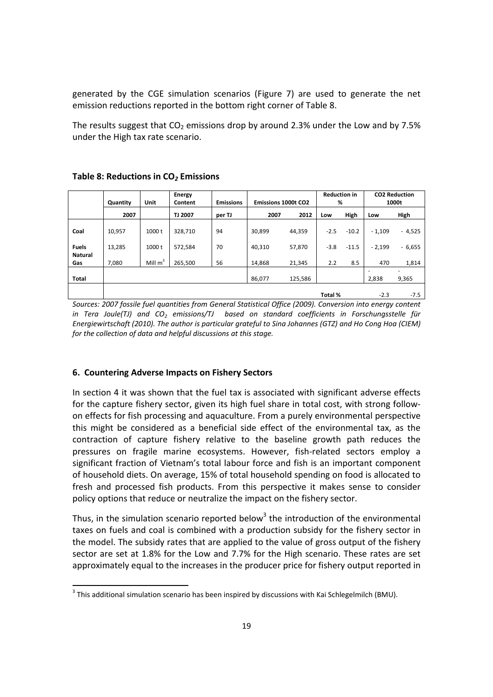generated by the CGE simulation scenarios (Figure 7) are used to generate the net emission reductions reported in the bottom right corner of Table 8.

The results suggest that  $CO<sub>2</sub>$  emissions drop by around 2.3% under the Low and by 7.5% under the High tax rate scenario.

|                                | Quantity | Unit       | Energy<br>Content | <b>Reduction in</b><br>%<br><b>Emissions</b><br><b>Emissions 1000t CO2</b> |        |         |         |         | <b>CO2 Reduction</b><br>1000t |                                   |
|--------------------------------|----------|------------|-------------------|----------------------------------------------------------------------------|--------|---------|---------|---------|-------------------------------|-----------------------------------|
|                                | 2007     |            | <b>TJ 2007</b>    | per TJ                                                                     | 2007   | 2012    | Low     | High    | Low                           | High                              |
| Coal                           | 10,957   | 1000 t     | 328,710           | 94                                                                         | 30.899 | 44,359  | $-2.5$  | $-10.2$ | $-1,109$                      | $-4,525$                          |
| <b>Fuels</b><br><b>Natural</b> | 13,285   | 1000 t     | 572,584           | 70                                                                         | 40.310 | 57,870  | $-3.8$  | $-11.5$ | $-2,199$                      | $-6,655$                          |
| Gas                            | 7.080    | Mill $m^2$ | 265.500           | 56                                                                         | 14.868 | 21,345  | 2.2     | 8.5     | 470                           | 1,814                             |
| Total                          |          |            |                   |                                                                            | 86,077 | 125,586 |         |         | 2,838                         | $\overline{\phantom{0}}$<br>9,365 |
|                                |          |            |                   |                                                                            |        |         | Total % |         | $-2.3$                        | $-7.5$                            |

# **Table 8: Reductions in CO***<sup>2</sup>* **Emissions**

*Sources: 2007 fossile fuel quantities from General Statistical Office (2009). Conversion into energy content in Tera Joule(TJ) and CO<sup>2</sup> emissions/TJ based on standard coefficients in Forschungsstelle für Energiewirtschaft (2010). The author is particular grateful to Sina Johannes (GTZ) and Ho Cong Hoa (CIEM) for the collection of data and helpful discussions at this stage.* 

# **6. Countering Adverse Impacts on Fishery Sectors**

In section 4 it was shown that the fuel tax is associated with significant adverse effects for the capture fishery sector, given its high fuel share in total cost, with strong followon effects for fish processing and aquaculture. From a purely environmental perspective this might be considered as a beneficial side effect of the environmental tax, as the contraction of capture fishery relative to the baseline growth path reduces the pressures on fragile marine ecosystems. However, fish-related sectors employ a significant fraction of Vietnam's total labour force and fish is an important component of household diets. On average, 15% of total household spending on food is allocated to fresh and processed fish products. From this perspective it makes sense to consider policy options that reduce or neutralize the impact on the fishery sector.

Thus, in the simulation scenario reported below<sup>3</sup> the introduction of the environmental taxes on fuels and coal is combined with a production subsidy for the fishery sector in the model. The subsidy rates that are applied to the value of gross output of the fishery sector are set at 1.8% for the Low and 7.7% for the High scenario. These rates are set approximately equal to the increases in the producer price for fishery output reported in

 $^3$  This additional simulation scenario has been inspired by discussions with Kai Schlegelmilch (BMU).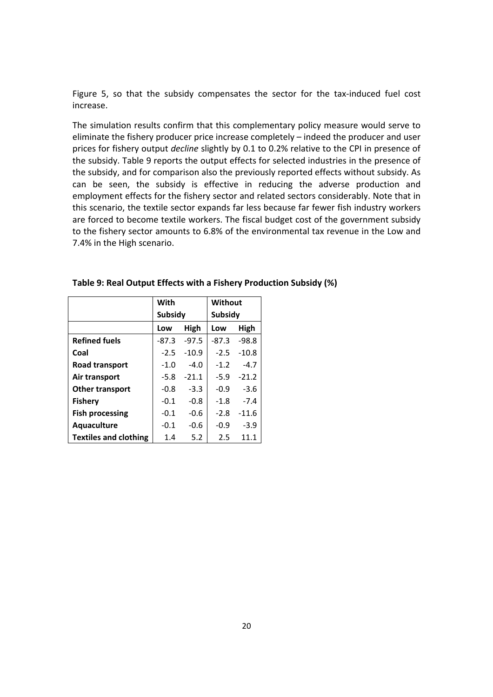Figure 5, so that the subsidy compensates the sector for the tax-induced fuel cost increase.

The simulation results confirm that this complementary policy measure would serve to eliminate the fishery producer price increase completely – indeed the producer and user prices for fishery output *decline* slightly by 0.1 to 0.2% relative to the CPI in presence of the subsidy. Table 9 reports the output effects for selected industries in the presence of the subsidy, and for comparison also the previously reported effects without subsidy. As can be seen, the subsidy is effective in reducing the adverse production and employment effects for the fishery sector and related sectors considerably. Note that in this scenario, the textile sector expands far less because far fewer fish industry workers are forced to become textile workers. The fiscal budget cost of the government subsidy to the fishery sector amounts to 6.8% of the environmental tax revenue in the Low and 7.4% in the High scenario.

|                              | With              |         | Without |         |  |
|------------------------------|-------------------|---------|---------|---------|--|
|                              | <b>Subsidy</b>    |         | Subsidy |         |  |
|                              | Low               | High    | Low     | High    |  |
| <b>Refined fuels</b>         | $-87.3$           | $-97.5$ | -87.3   | $-98.8$ |  |
| Coal                         | $-2.5$            | $-10.9$ | $-2.5$  | $-10.8$ |  |
| Road transport               | $-4.0$<br>$-1.0$  |         | $-1.2$  | $-4.7$  |  |
| Air transport                | $-5.8$<br>$-21.1$ |         | $-5.9$  | $-21.2$ |  |
| <b>Other transport</b>       | $-0.8$            | $-3.3$  | $-0.9$  | $-3.6$  |  |
| <b>Fishery</b>               | $-0.1$            | $-0.8$  | $-1.8$  | $-7.4$  |  |
| <b>Fish processing</b>       | $-0.1$            | $-0.6$  | $-2.8$  | $-11.6$ |  |
| Aquaculture                  | $-0.1$<br>$-0.6$  |         | $-0.9$  | $-3.9$  |  |
| <b>Textiles and clothing</b> | 5.2<br>2.5<br>1.4 |         |         | 11.1    |  |

#### **Table 9: Real Output Effects with a Fishery Production Subsidy (%)**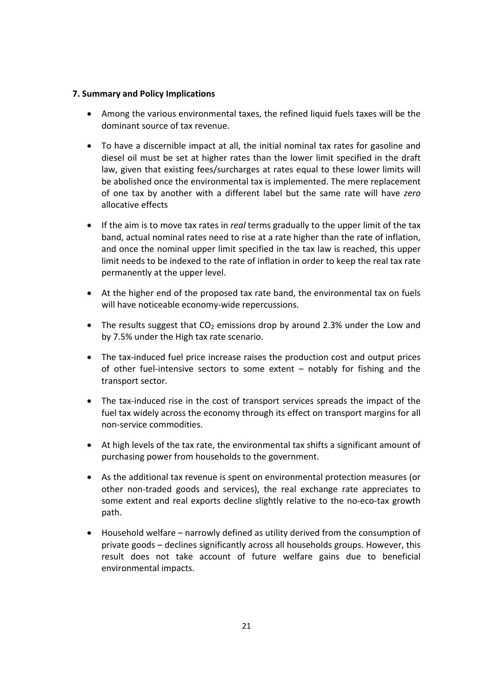# **7. Summary and Policy Implications**

- Among the various environmental taxes, the refined liquid fuels taxes will be the dominant source of tax revenue.
- To have a discernible impact at all, the initial nominal tax rates for gasoline and diesel oil must be set at higher rates than the lower limit specified in the draft law, given that existing fees/surcharges at rates equal to these lower limits will be abolished once the environmental tax is implemented. The mere replacement of one tax by another with a different label but the same rate will have *zero* allocative effects
- If the aim is to move tax rates in *real* terms gradually to the upper limit of the tax band, actual nominal rates need to rise at a rate higher than the rate of inflation, and once the nominal upper limit specified in the tax law is reached, this upper limit needs to be indexed to the rate of inflation in order to keep the real tax rate permanently at the upper level.
- At the higher end of the proposed tax rate band, the environmental tax on fuels will have noticeable economy-wide repercussions.
- The results suggest that  $CO<sub>2</sub>$  emissions drop by around 2.3% under the Low and by 7.5% under the High tax rate scenario.
- The tax-induced fuel price increase raises the production cost and output prices of other fuel‐intensive sectors to some extent – notably for fishing and the transport sector.
- The tax-induced rise in the cost of transport services spreads the impact of the fuel tax widely across the economy through its effect on transport margins for all non‐service commodities.
- At high levels of the tax rate, the environmental tax shifts a significant amount of purchasing power from households to the government.
- As the additional tax revenue is spent on environmental protection measures (or other non‐traded goods and services), the real exchange rate appreciates to some extent and real exports decline slightly relative to the no-eco-tax growth path.
- Household welfare narrowly defined as utility derived from the consumption of private goods – declines significantly across all households groups. However, this result does not take account of future welfare gains due to beneficial environmental impacts.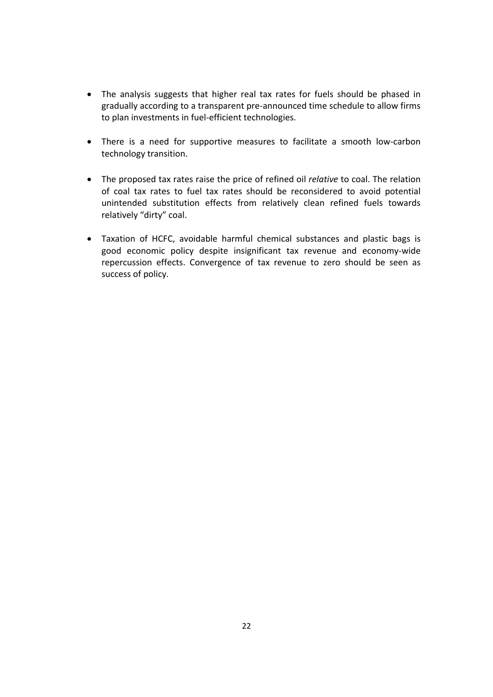- The analysis suggests that higher real tax rates for fuels should be phased in gradually according to a transparent pre‐announced time schedule to allow firms to plan investments in fuel‐efficient technologies.
- There is a need for supportive measures to facilitate a smooth low-carbon technology transition.
- The proposed tax rates raise the price of refined oil *relative* to coal. The relation of coal tax rates to fuel tax rates should be reconsidered to avoid potential unintended substitution effects from relatively clean refined fuels towards relatively "dirty" coal.
- Taxation of HCFC, avoidable harmful chemical substances and plastic bags is good economic policy despite insignificant tax revenue and economy‐wide repercussion effects. Convergence of tax revenue to zero should be seen as success of policy.